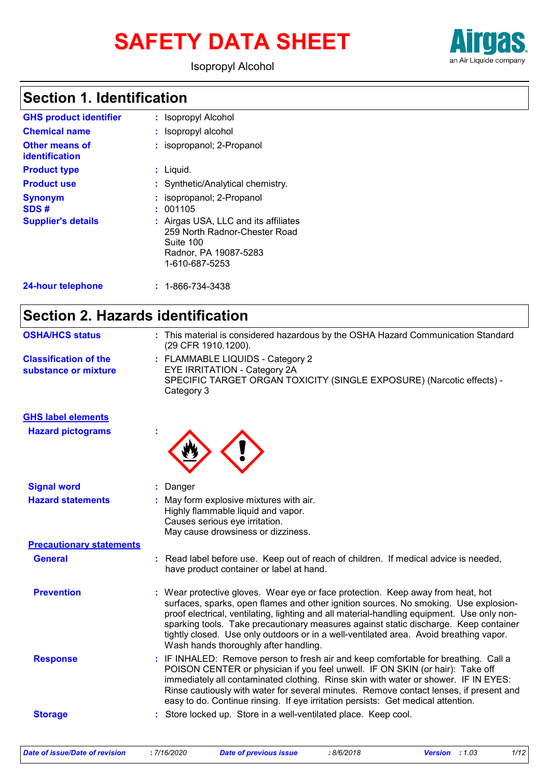# **SAFETY DATA SHEET**



Isopropyl Alcohol

### **Section 1. Identification**

| <b>GHS product identifier</b>                       | : Isopropyl Alcohol                                                                                                                                                    |
|-----------------------------------------------------|------------------------------------------------------------------------------------------------------------------------------------------------------------------------|
| <b>Chemical name</b>                                | : Isopropyl alcohol                                                                                                                                                    |
| Other means of<br><b>identification</b>             | : isopropanol; 2-Propanol                                                                                                                                              |
| <b>Product type</b>                                 | $:$ Liquid.                                                                                                                                                            |
| <b>Product use</b>                                  | : Synthetic/Analytical chemistry.                                                                                                                                      |
| <b>Synonym</b><br>SDS#<br><b>Supplier's details</b> | : isopropanol; 2-Propanol<br>: 001105<br>: Airgas USA, LLC and its affiliates<br>259 North Radnor-Chester Road<br>Suite 100<br>Radnor, PA 19087-5283<br>1-610-687-5253 |
| 24-hour telephone                                   | $: 1 - 866 - 734 - 3438$                                                                                                                                               |

### **Section 2. Hazards identification**

| <b>OSHA/HCS status</b>                               | : This material is considered hazardous by the OSHA Hazard Communication Standard<br>(29 CFR 1910.1200).                                                                                                                                                                                                                                                                                                                                                                                         |
|------------------------------------------------------|--------------------------------------------------------------------------------------------------------------------------------------------------------------------------------------------------------------------------------------------------------------------------------------------------------------------------------------------------------------------------------------------------------------------------------------------------------------------------------------------------|
| <b>Classification of the</b><br>substance or mixture | : FLAMMABLE LIQUIDS - Category 2<br>EYE IRRITATION - Category 2A<br>SPECIFIC TARGET ORGAN TOXICITY (SINGLE EXPOSURE) (Narcotic effects) -<br>Category 3                                                                                                                                                                                                                                                                                                                                          |
| <b>GHS label elements</b>                            |                                                                                                                                                                                                                                                                                                                                                                                                                                                                                                  |
| <b>Hazard pictograms</b>                             |                                                                                                                                                                                                                                                                                                                                                                                                                                                                                                  |
| <b>Signal word</b>                                   | : Danger                                                                                                                                                                                                                                                                                                                                                                                                                                                                                         |
| <b>Hazard statements</b>                             | : May form explosive mixtures with air.<br>Highly flammable liquid and vapor.<br>Causes serious eye irritation.<br>May cause drowsiness or dizziness.                                                                                                                                                                                                                                                                                                                                            |
| <b>Precautionary statements</b>                      |                                                                                                                                                                                                                                                                                                                                                                                                                                                                                                  |
| <b>General</b>                                       | : Read label before use. Keep out of reach of children. If medical advice is needed,<br>have product container or label at hand.                                                                                                                                                                                                                                                                                                                                                                 |
| <b>Prevention</b>                                    | : Wear protective gloves. Wear eye or face protection. Keep away from heat, hot<br>surfaces, sparks, open flames and other ignition sources. No smoking. Use explosion-<br>proof electrical, ventilating, lighting and all material-handling equipment. Use only non-<br>sparking tools. Take precautionary measures against static discharge. Keep container<br>tightly closed. Use only outdoors or in a well-ventilated area. Avoid breathing vapor.<br>Wash hands thoroughly after handling. |
| <b>Response</b>                                      | : IF INHALED: Remove person to fresh air and keep comfortable for breathing. Call a<br>POISON CENTER or physician if you feel unwell. IF ON SKIN (or hair): Take off<br>immediately all contaminated clothing. Rinse skin with water or shower. IF IN EYES:<br>Rinse cautiously with water for several minutes. Remove contact lenses, if present and<br>easy to do. Continue rinsing. If eye irritation persists: Get medical attention.                                                        |
| <b>Storage</b>                                       | : Store locked up. Store in a well-ventilated place. Keep cool.                                                                                                                                                                                                                                                                                                                                                                                                                                  |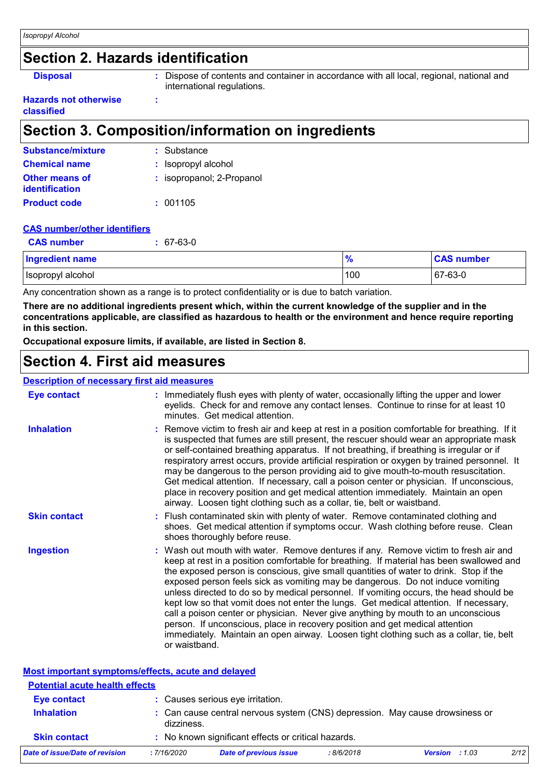### **Section 2. Hazards identification**

**:**

**Disposal :** Dispose of contents and container in accordance with all local, regional, national and international regulations.

#### **Hazards not otherwise classified**

### **Section 3. Composition/information on ingredients**

| <b>Substance/mixture</b>                       | : Substance               |
|------------------------------------------------|---------------------------|
| <b>Chemical name</b>                           | : Isopropyl alcohol       |
| <b>Other means of</b><br><b>identification</b> | : isopropanol; 2-Propanol |
| <b>Product code</b>                            | : 001105                  |

#### **CAS number/other identifiers**

| <b>CAS number</b>      | 67-63-0 |               |                   |
|------------------------|---------|---------------|-------------------|
| <b>Ingredient name</b> |         | $\frac{9}{6}$ | <b>CAS number</b> |
| Isopropyl alcohol      |         | 100           | $ 67-63-0 $       |

Any concentration shown as a range is to protect confidentiality or is due to batch variation.

**There are no additional ingredients present which, within the current knowledge of the supplier and in the concentrations applicable, are classified as hazardous to health or the environment and hence require reporting in this section.**

**Occupational exposure limits, if available, are listed in Section 8.**

### **Section 4. First aid measures**

#### **Description of necessary first aid measures**

| <b>Eye contact</b>  | : Immediately flush eyes with plenty of water, occasionally lifting the upper and lower<br>eyelids. Check for and remove any contact lenses. Continue to rinse for at least 10<br>minutes. Get medical attention.                                                                                                                                                                                                                                                                                                                                                                                                                                                                                                                                                                                                             |
|---------------------|-------------------------------------------------------------------------------------------------------------------------------------------------------------------------------------------------------------------------------------------------------------------------------------------------------------------------------------------------------------------------------------------------------------------------------------------------------------------------------------------------------------------------------------------------------------------------------------------------------------------------------------------------------------------------------------------------------------------------------------------------------------------------------------------------------------------------------|
| <b>Inhalation</b>   | : Remove victim to fresh air and keep at rest in a position comfortable for breathing. If it<br>is suspected that fumes are still present, the rescuer should wear an appropriate mask<br>or self-contained breathing apparatus. If not breathing, if breathing is irregular or if<br>respiratory arrest occurs, provide artificial respiration or oxygen by trained personnel. It<br>may be dangerous to the person providing aid to give mouth-to-mouth resuscitation.<br>Get medical attention. If necessary, call a poison center or physician. If unconscious,<br>place in recovery position and get medical attention immediately. Maintain an open<br>airway. Loosen tight clothing such as a collar, tie, belt or waistband.                                                                                          |
| <b>Skin contact</b> | : Flush contaminated skin with plenty of water. Remove contaminated clothing and<br>shoes. Get medical attention if symptoms occur. Wash clothing before reuse. Clean<br>shoes thoroughly before reuse.                                                                                                                                                                                                                                                                                                                                                                                                                                                                                                                                                                                                                       |
| <b>Ingestion</b>    | : Wash out mouth with water. Remove dentures if any. Remove victim to fresh air and<br>keep at rest in a position comfortable for breathing. If material has been swallowed and<br>the exposed person is conscious, give small quantities of water to drink. Stop if the<br>exposed person feels sick as vomiting may be dangerous. Do not induce vomiting<br>unless directed to do so by medical personnel. If vomiting occurs, the head should be<br>kept low so that vomit does not enter the lungs. Get medical attention. If necessary,<br>call a poison center or physician. Never give anything by mouth to an unconscious<br>person. If unconscious, place in recovery position and get medical attention<br>immediately. Maintain an open airway. Loosen tight clothing such as a collar, tie, belt<br>or waistband. |

| Most important symptoms/effects, acute and delayed |             |                                                                              |           |                         |      |
|----------------------------------------------------|-------------|------------------------------------------------------------------------------|-----------|-------------------------|------|
| <b>Potential acute health effects</b>              |             |                                                                              |           |                         |      |
| <b>Eye contact</b>                                 |             | : Causes serious eye irritation.                                             |           |                         |      |
| <b>Inhalation</b>                                  | dizziness.  | : Can cause central nervous system (CNS) depression. May cause drowsiness or |           |                         |      |
| <b>Skin contact</b>                                |             | : No known significant effects or critical hazards.                          |           |                         |      |
| Date of issue/Date of revision                     | : 7/16/2020 | <b>Date of previous issue</b>                                                | :8/6/2018 | <b>Version</b> : $1.03$ | 2/12 |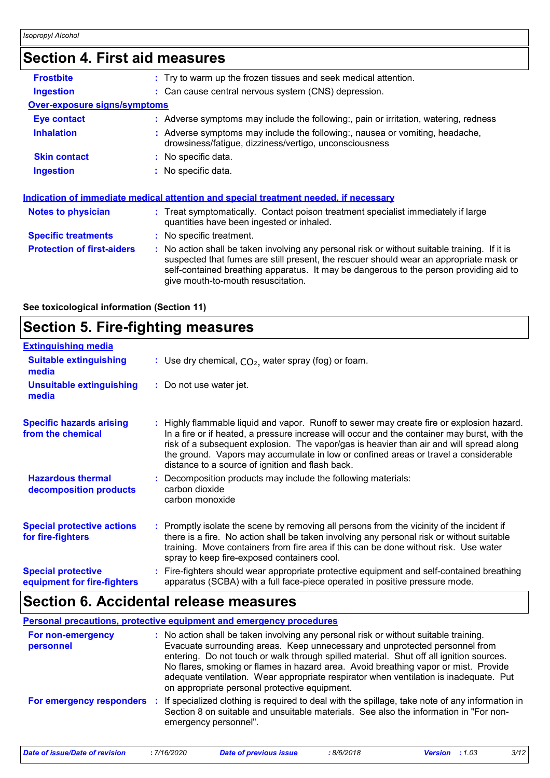### **Section 4. First aid measures**

| <b>Frostbite</b>                    | : Try to warm up the frozen tissues and seek medical attention.                                                                                                                                                                                                                                                         |
|-------------------------------------|-------------------------------------------------------------------------------------------------------------------------------------------------------------------------------------------------------------------------------------------------------------------------------------------------------------------------|
| <b>Ingestion</b>                    | : Can cause central nervous system (CNS) depression.                                                                                                                                                                                                                                                                    |
| <b>Over-exposure signs/symptoms</b> |                                                                                                                                                                                                                                                                                                                         |
| Eye contact                         | : Adverse symptoms may include the following:, pain or irritation, watering, redness                                                                                                                                                                                                                                    |
| <b>Inhalation</b>                   | : Adverse symptoms may include the following:, nausea or vomiting, headache,<br>drowsiness/fatigue, dizziness/vertigo, unconsciousness                                                                                                                                                                                  |
| <b>Skin contact</b>                 | : No specific data.                                                                                                                                                                                                                                                                                                     |
| <b>Ingestion</b>                    | $:$ No specific data.                                                                                                                                                                                                                                                                                                   |
| <b>Notes to physician</b>           | <u>Indication of immediate medical attention and special treatment needed, if necessary</u><br>: Treat symptomatically. Contact poison treatment specialist immediately if large<br>quantities have been ingested or inhaled.                                                                                           |
| <b>Specific treatments</b>          | : No specific treatment.                                                                                                                                                                                                                                                                                                |
| <b>Protection of first-aiders</b>   | : No action shall be taken involving any personal risk or without suitable training. If it is<br>suspected that fumes are still present, the rescuer should wear an appropriate mask or<br>self-contained breathing apparatus. It may be dangerous to the person providing aid to<br>give mouth-to-mouth resuscitation. |
|                                     |                                                                                                                                                                                                                                                                                                                         |

**See toxicological information (Section 11)**

### **Section 5. Fire-fighting measures**

| <b>Extinguishing media</b>                               |                                                                                                                                                                                                                                                                                                                                                                                                                                 |
|----------------------------------------------------------|---------------------------------------------------------------------------------------------------------------------------------------------------------------------------------------------------------------------------------------------------------------------------------------------------------------------------------------------------------------------------------------------------------------------------------|
| <b>Suitable extinguishing</b><br>media                   | : Use dry chemical, $CO2$ , water spray (fog) or foam.                                                                                                                                                                                                                                                                                                                                                                          |
| <b>Unsuitable extinguishing</b><br>media                 | : Do not use water jet.                                                                                                                                                                                                                                                                                                                                                                                                         |
| <b>Specific hazards arising</b><br>from the chemical     | : Highly flammable liquid and vapor. Runoff to sewer may create fire or explosion hazard.<br>In a fire or if heated, a pressure increase will occur and the container may burst, with the<br>risk of a subsequent explosion. The vapor/gas is heavier than air and will spread along<br>the ground. Vapors may accumulate in low or confined areas or travel a considerable<br>distance to a source of ignition and flash back. |
| <b>Hazardous thermal</b><br>decomposition products       | : Decomposition products may include the following materials:<br>carbon dioxide<br>carbon monoxide                                                                                                                                                                                                                                                                                                                              |
| <b>Special protective actions</b><br>for fire-fighters   | : Promptly isolate the scene by removing all persons from the vicinity of the incident if<br>there is a fire. No action shall be taken involving any personal risk or without suitable<br>training. Move containers from fire area if this can be done without risk. Use water<br>spray to keep fire-exposed containers cool.                                                                                                   |
| <b>Special protective</b><br>equipment for fire-fighters | Fire-fighters should wear appropriate protective equipment and self-contained breathing<br>apparatus (SCBA) with a full face-piece operated in positive pressure mode.                                                                                                                                                                                                                                                          |

### **Section 6. Accidental release measures**

**Personal precautions, protective equipment and emergency procedures**

| For non-emergency<br>personnel | : No action shall be taken involving any personal risk or without suitable training.<br>Evacuate surrounding areas. Keep unnecessary and unprotected personnel from<br>entering. Do not touch or walk through spilled material. Shut off all ignition sources.<br>No flares, smoking or flames in hazard area. Avoid breathing vapor or mist. Provide<br>adequate ventilation. Wear appropriate respirator when ventilation is inadequate. Put<br>on appropriate personal protective equipment. |
|--------------------------------|-------------------------------------------------------------------------------------------------------------------------------------------------------------------------------------------------------------------------------------------------------------------------------------------------------------------------------------------------------------------------------------------------------------------------------------------------------------------------------------------------|
| For emergency responders       | : If specialized clothing is required to deal with the spillage, take note of any information in<br>Section 8 on suitable and unsuitable materials. See also the information in "For non-<br>emergency personnel".                                                                                                                                                                                                                                                                              |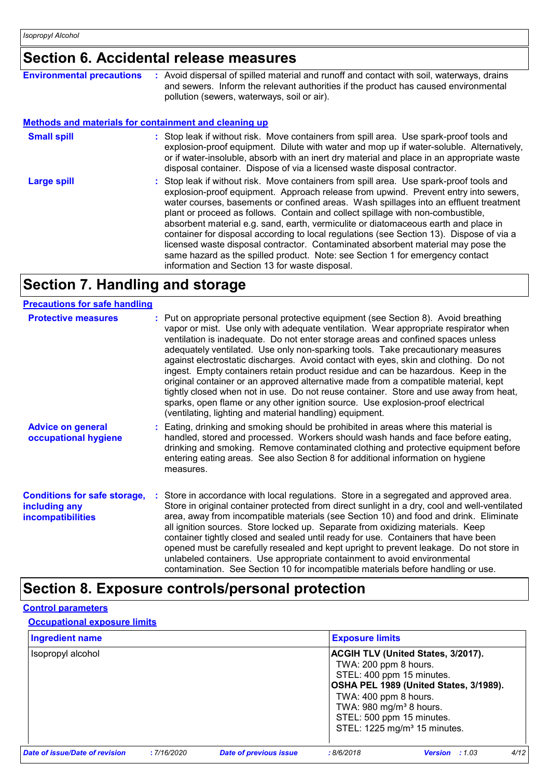## **Section 6. Accidental release measures**

| <b>Environmental precautions</b>                             | : Avoid dispersal of spilled material and runoff and contact with soil, waterways, drains<br>and sewers. Inform the relevant authorities if the product has caused environmental<br>pollution (sewers, waterways, soil or air).                                                                                                                                                                                                                                                                                                                                                                                                                                                                                                                                      |
|--------------------------------------------------------------|----------------------------------------------------------------------------------------------------------------------------------------------------------------------------------------------------------------------------------------------------------------------------------------------------------------------------------------------------------------------------------------------------------------------------------------------------------------------------------------------------------------------------------------------------------------------------------------------------------------------------------------------------------------------------------------------------------------------------------------------------------------------|
| <b>Methods and materials for containment and cleaning up</b> |                                                                                                                                                                                                                                                                                                                                                                                                                                                                                                                                                                                                                                                                                                                                                                      |
| <b>Small spill</b>                                           | : Stop leak if without risk. Move containers from spill area. Use spark-proof tools and<br>explosion-proof equipment. Dilute with water and mop up if water-soluble. Alternatively,<br>or if water-insoluble, absorb with an inert dry material and place in an appropriate waste<br>disposal container. Dispose of via a licensed waste disposal contractor.                                                                                                                                                                                                                                                                                                                                                                                                        |
| <b>Large spill</b>                                           | : Stop leak if without risk. Move containers from spill area. Use spark-proof tools and<br>explosion-proof equipment. Approach release from upwind. Prevent entry into sewers,<br>water courses, basements or confined areas. Wash spillages into an effluent treatment<br>plant or proceed as follows. Contain and collect spillage with non-combustible,<br>absorbent material e.g. sand, earth, vermiculite or diatomaceous earth and place in<br>container for disposal according to local regulations (see Section 13). Dispose of via a<br>licensed waste disposal contractor. Contaminated absorbent material may pose the<br>same hazard as the spilled product. Note: see Section 1 for emergency contact<br>information and Section 13 for waste disposal. |

## **Section 7. Handling and storage**

| <b>Precautions for safe handling</b>                                             |                                                                                                                                                                                                                                                                                                                                                                                                                                                                                                                                                                                                                                                                                                                                                                                                                                                               |
|----------------------------------------------------------------------------------|---------------------------------------------------------------------------------------------------------------------------------------------------------------------------------------------------------------------------------------------------------------------------------------------------------------------------------------------------------------------------------------------------------------------------------------------------------------------------------------------------------------------------------------------------------------------------------------------------------------------------------------------------------------------------------------------------------------------------------------------------------------------------------------------------------------------------------------------------------------|
| <b>Protective measures</b>                                                       | : Put on appropriate personal protective equipment (see Section 8). Avoid breathing<br>vapor or mist. Use only with adequate ventilation. Wear appropriate respirator when<br>ventilation is inadequate. Do not enter storage areas and confined spaces unless<br>adequately ventilated. Use only non-sparking tools. Take precautionary measures<br>against electrostatic discharges. Avoid contact with eyes, skin and clothing. Do not<br>ingest. Empty containers retain product residue and can be hazardous. Keep in the<br>original container or an approved alternative made from a compatible material, kept<br>tightly closed when not in use. Do not reuse container. Store and use away from heat,<br>sparks, open flame or any other ignition source. Use explosion-proof electrical<br>(ventilating, lighting and material handling) equipment. |
| <b>Advice on general</b><br>occupational hygiene                                 | : Eating, drinking and smoking should be prohibited in areas where this material is<br>handled, stored and processed. Workers should wash hands and face before eating,<br>drinking and smoking. Remove contaminated clothing and protective equipment before<br>entering eating areas. See also Section 8 for additional information on hygiene<br>measures.                                                                                                                                                                                                                                                                                                                                                                                                                                                                                                 |
| <b>Conditions for safe storage,</b><br>including any<br><b>incompatibilities</b> | Store in accordance with local regulations. Store in a segregated and approved area.<br>Store in original container protected from direct sunlight in a dry, cool and well-ventilated<br>area, away from incompatible materials (see Section 10) and food and drink. Eliminate<br>all ignition sources. Store locked up. Separate from oxidizing materials. Keep<br>container tightly closed and sealed until ready for use. Containers that have been<br>opened must be carefully resealed and kept upright to prevent leakage. Do not store in<br>unlabeled containers. Use appropriate containment to avoid environmental<br>contamination. See Section 10 for incompatible materials before handling or use.                                                                                                                                              |

### **Section 8. Exposure controls/personal protection**

#### **Control parameters**

#### **Occupational exposure limits**

| <b>Ingredient name</b>                |            |                               | <b>Exposure limits</b>                                                                |                                                                                                                                                                                           |      |
|---------------------------------------|------------|-------------------------------|---------------------------------------------------------------------------------------|-------------------------------------------------------------------------------------------------------------------------------------------------------------------------------------------|------|
| Isopropyl alcohol                     |            |                               | TWA: 200 ppm 8 hours.<br>TWA: 400 ppm 8 hours.<br>TWA: 980 mg/m <sup>3</sup> 8 hours. | <b>ACGIH TLV (United States, 3/2017).</b><br>STEL: 400 ppm 15 minutes.<br>OSHA PEL 1989 (United States, 3/1989).<br>STEL: 500 ppm 15 minutes.<br>STEL: 1225 mg/m <sup>3</sup> 15 minutes. |      |
| <b>Date of issue/Date of revision</b> | :7/16/2020 | <b>Date of previous issue</b> | :8/6/2018                                                                             | Version : 1.03                                                                                                                                                                            | 4/12 |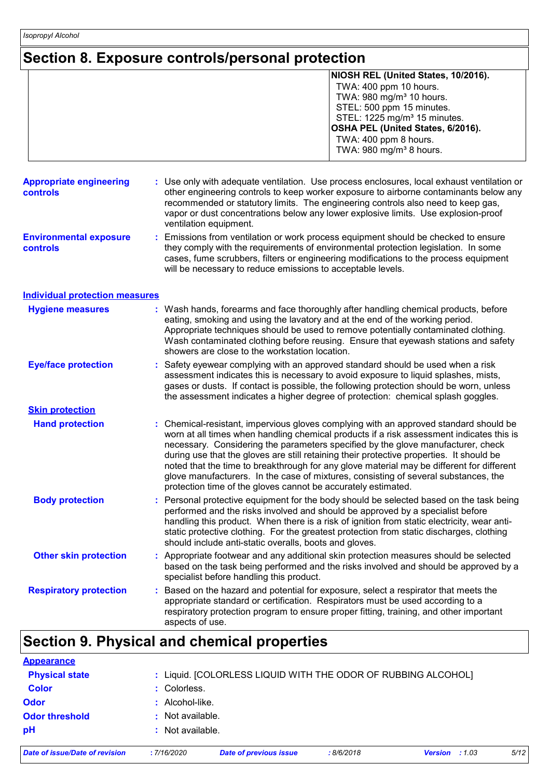### **Section 8. Exposure controls/personal protection**

|                                            | NIOSH REL (United States, 10/2016).<br>TWA: 400 ppm 10 hours.<br>TWA: 980 mg/m <sup>3</sup> 10 hours.<br>STEL: 500 ppm 15 minutes.<br>STEL: 1225 mg/m <sup>3</sup> 15 minutes.<br>OSHA PEL (United States, 6/2016).<br>TWA: 400 ppm 8 hours.<br>TWA: 980 mg/m <sup>3</sup> 8 hours.                                                                                                                                                                                                                                                                                                                                  |
|--------------------------------------------|----------------------------------------------------------------------------------------------------------------------------------------------------------------------------------------------------------------------------------------------------------------------------------------------------------------------------------------------------------------------------------------------------------------------------------------------------------------------------------------------------------------------------------------------------------------------------------------------------------------------|
| <b>Appropriate engineering</b><br>controls | : Use only with adequate ventilation. Use process enclosures, local exhaust ventilation or<br>other engineering controls to keep worker exposure to airborne contaminants below any<br>recommended or statutory limits. The engineering controls also need to keep gas,<br>vapor or dust concentrations below any lower explosive limits. Use explosion-proof<br>ventilation equipment.                                                                                                                                                                                                                              |
| <b>Environmental exposure</b><br>controls  | Emissions from ventilation or work process equipment should be checked to ensure<br>they comply with the requirements of environmental protection legislation. In some<br>cases, fume scrubbers, filters or engineering modifications to the process equipment<br>will be necessary to reduce emissions to acceptable levels.                                                                                                                                                                                                                                                                                        |
| <b>Individual protection measures</b>      |                                                                                                                                                                                                                                                                                                                                                                                                                                                                                                                                                                                                                      |
| <b>Hygiene measures</b>                    | Wash hands, forearms and face thoroughly after handling chemical products, before<br>eating, smoking and using the lavatory and at the end of the working period.<br>Appropriate techniques should be used to remove potentially contaminated clothing.<br>Wash contaminated clothing before reusing. Ensure that eyewash stations and safety<br>showers are close to the workstation location.                                                                                                                                                                                                                      |
| <b>Eye/face protection</b>                 | Safety eyewear complying with an approved standard should be used when a risk<br>assessment indicates this is necessary to avoid exposure to liquid splashes, mists,<br>gases or dusts. If contact is possible, the following protection should be worn, unless<br>the assessment indicates a higher degree of protection: chemical splash goggles.                                                                                                                                                                                                                                                                  |
| <b>Skin protection</b>                     |                                                                                                                                                                                                                                                                                                                                                                                                                                                                                                                                                                                                                      |
| <b>Hand protection</b>                     | Chemical-resistant, impervious gloves complying with an approved standard should be<br>worn at all times when handling chemical products if a risk assessment indicates this is<br>necessary. Considering the parameters specified by the glove manufacturer, check<br>during use that the gloves are still retaining their protective properties. It should be<br>noted that the time to breakthrough for any glove material may be different for different<br>glove manufacturers. In the case of mixtures, consisting of several substances, the<br>protection time of the gloves cannot be accurately estimated. |
| <b>Body protection</b>                     | Personal protective equipment for the body should be selected based on the task being<br>performed and the risks involved and should be approved by a specialist before<br>handling this product. When there is a risk of ignition from static electricity, wear anti-<br>static protective clothing. For the greatest protection from static discharges, clothing<br>should include anti-static overalls, boots and gloves.                                                                                                                                                                                         |
| <b>Other skin protection</b>               | Appropriate footwear and any additional skin protection measures should be selected<br>based on the task being performed and the risks involved and should be approved by a<br>specialist before handling this product.                                                                                                                                                                                                                                                                                                                                                                                              |
| <b>Respiratory protection</b>              | Based on the hazard and potential for exposure, select a respirator that meets the<br>appropriate standard or certification. Respirators must be used according to a<br>respiratory protection program to ensure proper fitting, training, and other important<br>aspects of use.                                                                                                                                                                                                                                                                                                                                    |

| <b>Appearance</b>              |                   |                                                               |           |                         |      |
|--------------------------------|-------------------|---------------------------------------------------------------|-----------|-------------------------|------|
| <b>Physical state</b>          |                   | : Liquid. [COLORLESS LIQUID WITH THE ODOR OF RUBBING ALCOHOL] |           |                         |      |
| <b>Color</b>                   | : Colorless.      |                                                               |           |                         |      |
| <b>Odor</b>                    | $:$ Alcohol-like. |                                                               |           |                         |      |
| <b>Odor threshold</b>          | : Not available.  |                                                               |           |                         |      |
| pH                             | : Not available.  |                                                               |           |                         |      |
| Date of issue/Date of revision | : 7/16/2020       | <b>Date of previous issue</b>                                 | :8/6/2018 | <b>Version</b> : $1.03$ | 5/12 |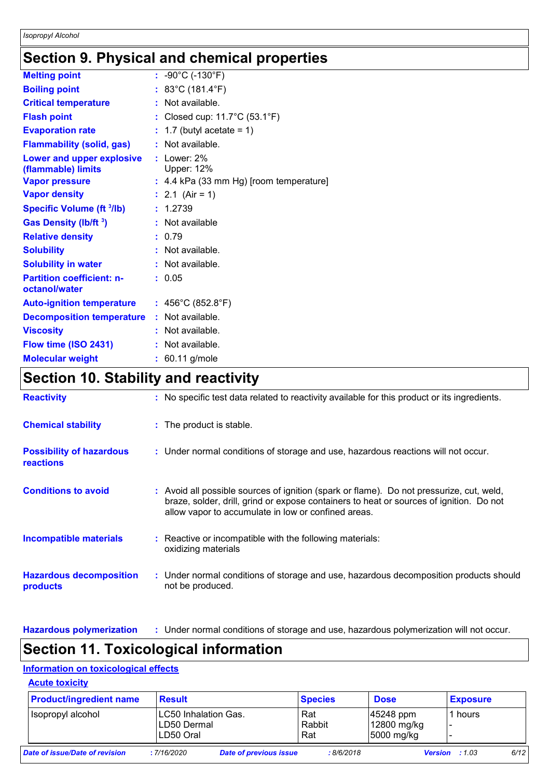### **Section 9. Physical and chemical properties**

| <b>Melting point</b>                                   | : $-90^{\circ}$ C (-130 $^{\circ}$ F)              |
|--------------------------------------------------------|----------------------------------------------------|
| <b>Boiling point</b>                                   | : 83°C (181.4°F)                                   |
| <b>Critical temperature</b>                            | : Not available.                                   |
| <b>Flash point</b>                                     | : Closed cup: $11.7^{\circ}$ C (53.1 $^{\circ}$ F) |
| <b>Evaporation rate</b>                                | $: 1.7$ (butyl acetate = 1)                        |
| <b>Flammability (solid, gas)</b>                       | : Not available.                                   |
| <b>Lower and upper explosive</b><br>(flammable) limits | $:$ Lower: 2%<br><b>Upper: 12%</b>                 |
| <b>Vapor pressure</b>                                  | $: 4.4$ kPa (33 mm Hg) [room temperature]          |
| <b>Vapor density</b>                                   | : 2.1 (Air = 1)                                    |
| <b>Specific Volume (ft 3/lb)</b>                       | : 1.2739                                           |
| <b>Gas Density (Ib/ft 3)</b>                           | : Not available                                    |
| <b>Relative density</b>                                | : 0.79                                             |
| <b>Solubility</b>                                      | : Not available.                                   |
| <b>Solubility in water</b>                             | : Not available.                                   |
| <b>Partition coefficient: n-</b><br>octanol/water      | : 0.05                                             |
| <b>Auto-ignition temperature</b>                       | : 456°C (852.8°F)                                  |
| <b>Decomposition temperature</b>                       | : Not available.                                   |
| <b>Viscosity</b>                                       | : Not available.                                   |
| Flow time (ISO 2431)                                   | : Not available.                                   |
| <b>Molecular weight</b>                                | $: 60.11$ g/mole                                   |

### **Section 10. Stability and reactivity**

| <b>Reactivity</b>                                   | : No specific test data related to reactivity available for this product or its ingredients.                                                                                                                                               |
|-----------------------------------------------------|--------------------------------------------------------------------------------------------------------------------------------------------------------------------------------------------------------------------------------------------|
| <b>Chemical stability</b>                           | : The product is stable.                                                                                                                                                                                                                   |
| <b>Possibility of hazardous</b><br><b>reactions</b> | : Under normal conditions of storage and use, hazardous reactions will not occur.                                                                                                                                                          |
| <b>Conditions to avoid</b>                          | : Avoid all possible sources of ignition (spark or flame). Do not pressurize, cut, weld,<br>braze, solder, drill, grind or expose containers to heat or sources of ignition. Do not<br>allow vapor to accumulate in low or confined areas. |
| <b>Incompatible materials</b>                       | $\therefore$ Reactive or incompatible with the following materials:<br>oxidizing materials                                                                                                                                                 |
| <b>Hazardous decomposition</b><br>products          | : Under normal conditions of storage and use, hazardous decomposition products should<br>not be produced.                                                                                                                                  |

**Hazardous polymerization :** Under normal conditions of storage and use, hazardous polymerization will not occur.

### **Section 11. Toxicological information**

#### **Information on toxicological effects**

| <b>Acute toxicity</b>          |                                                  |                               |                      |                                        |                         |      |
|--------------------------------|--------------------------------------------------|-------------------------------|----------------------|----------------------------------------|-------------------------|------|
| <b>Product/ingredient name</b> | <b>Result</b>                                    |                               | <b>Species</b>       | <b>Dose</b>                            | <b>Exposure</b>         |      |
| Isopropyl alcohol              | LC50 Inhalation Gas.<br>LD50 Dermal<br>LD50 Oral |                               | Rat<br>Rabbit<br>Rat | 45248 ppm<br>12800 mg/kg<br>5000 mg/kg | 1 hours                 |      |
| Date of issue/Date of revision | : 7/16/2020                                      | <b>Date of previous issue</b> | :8/6/2018            |                                        | <b>Version</b> : $1.03$ | 6/12 |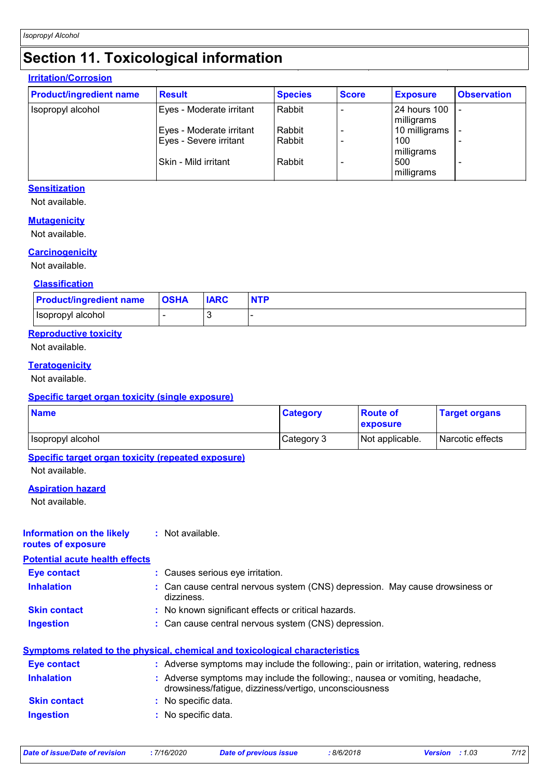### **Section 11. Toxicological information**

#### **Irritation/Corrosion**

| <b>Product/ingredient name</b> | <b>Result</b>                                      | <b>Species</b>   | <b>Score</b> | <b>Exposure</b>              | <b>Observation</b> |
|--------------------------------|----------------------------------------------------|------------------|--------------|------------------------------|--------------------|
| Isopropyl alcohol              | Eyes - Moderate irritant                           | Rabbit           |              | l 24 hours 100<br>milligrams |                    |
|                                | Eyes - Moderate irritant<br>Eyes - Severe irritant | Rabbit<br>Rabbit |              | 10 milligrams<br>100         |                    |
|                                | l Skin - Mild irritant                             | Rabbit           |              | milligrams<br>500            |                    |
|                                |                                                    |                  |              | milligrams                   |                    |

#### **Sensitization**

Not available.

#### **Mutagenicity**

Not available.

#### **Carcinogenicity**

Not available.

#### **Classification**

| <b>Product/ingredient name</b> | <b>OSHA</b> | <b>IARC</b> |  |
|--------------------------------|-------------|-------------|--|
| ∣Isopropγl alcohol             |             |             |  |

#### **Reproductive toxicity**

Not available.

#### **Teratogenicity**

Not available.

#### **Specific target organ toxicity (single exposure)**

| <b>Name</b>       | <b>Category</b> | <b>Route of</b><br>exposure | <b>Target organs</b> |
|-------------------|-----------------|-----------------------------|----------------------|
| Isopropyl alcohol | Category 3      | Not applicable.             | Narcotic effects     |

#### **Specific target organ toxicity (repeated exposure)**

Not available.

#### **Aspiration hazard**

Not available.

#### **Information on the likely routes of exposure :** Not available.

**Potential acute health effects**

**Eye contact :** Causes serious eye irritation.

- **Inhalation :** Can cause central nervous system (CNS) depression. May cause drowsiness or dizziness.
- **Skin contact :** No known significant effects or critical hazards.
- **Ingestion :** Can cause central nervous system (CNS) depression.

#### **Symptoms related to the physical, chemical and toxicological characteristics**

| Eye contact         | : Adverse symptoms may include the following:, pain or irritation, watering, redness                                                   |
|---------------------|----------------------------------------------------------------------------------------------------------------------------------------|
| <b>Inhalation</b>   | : Adverse symptoms may include the following:, nausea or vomiting, headache,<br>drowsiness/fatigue, dizziness/vertigo, unconsciousness |
| <b>Skin contact</b> | : No specific data.                                                                                                                    |
| <b>Ingestion</b>    | : No specific data.                                                                                                                    |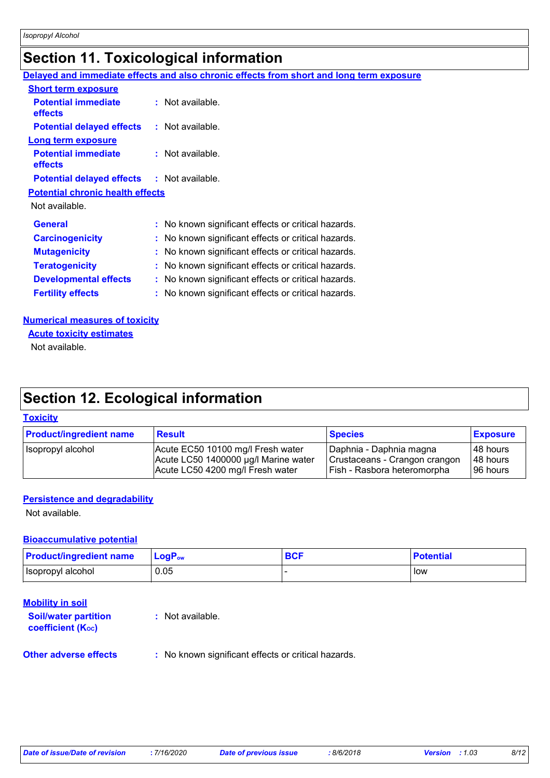### **Section 11. Toxicological information**

|                                         | Delayed and immediate effects and also chronic effects from short and long term exposure |
|-----------------------------------------|------------------------------------------------------------------------------------------|
| <b>Short term exposure</b>              |                                                                                          |
| <b>Potential immediate</b><br>effects   | : Not available.                                                                         |
| <b>Potential delayed effects</b>        | : Not available.                                                                         |
| Long term exposure                      |                                                                                          |
| <b>Potential immediate</b><br>effects   | $:$ Not available.                                                                       |
| <b>Potential delayed effects</b>        | : Not available.                                                                         |
| <b>Potential chronic health effects</b> |                                                                                          |
| Not available.                          |                                                                                          |
| <b>General</b>                          | : No known significant effects or critical hazards.                                      |
| <b>Carcinogenicity</b>                  | : No known significant effects or critical hazards.                                      |
| <b>Mutagenicity</b>                     | : No known significant effects or critical hazards.                                      |
| <b>Teratogenicity</b>                   | : No known significant effects or critical hazards.                                      |
| <b>Developmental effects</b>            | : No known significant effects or critical hazards.                                      |
| <b>Fertility effects</b>                | : No known significant effects or critical hazards.                                      |

#### **Numerical measures of toxicity**

Not available. **Acute toxicity estimates**

### **Section 12. Ecological information**

#### **Toxicity**

| <b>Product/ingredient name</b> | <b>Result</b>                        | <b>Species</b>                | <b>Exposure</b> |
|--------------------------------|--------------------------------------|-------------------------------|-----------------|
| Isopropyl alcohol              | Acute EC50 10100 mg/l Fresh water    | Daphnia - Daphnia magna       | 48 hours        |
|                                | Acute LC50 1400000 µg/l Marine water | Crustaceans - Crangon crangon | 48 hours        |
|                                | Acute LC50 4200 mg/l Fresh water     | Fish - Rasbora heteromorpha   | 196 hours       |

#### **Persistence and degradability**

Not available.

### **Bioaccumulative potential**

| <b>Product/ingredient name</b> | $LogPow$ | <b>BCF</b> | <b>Potential</b> |
|--------------------------------|----------|------------|------------------|
| Isopropyl alcohol              | 0.05     |            | low              |

### **Mobility in soil**

| <b>Soil/water partition</b><br><b>coefficient (Koc)</b> | : Not available. |  |  |
|---------------------------------------------------------|------------------|--|--|
|                                                         |                  |  |  |

**Other adverse effects** : No known significant effects or critical hazards.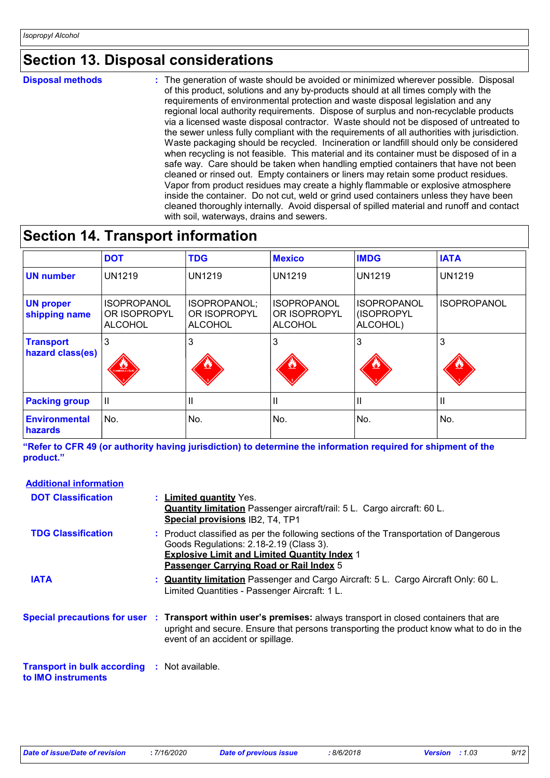### **Section 13. Disposal considerations**

**Disposal methods :**

The generation of waste should be avoided or minimized wherever possible. Disposal of this product, solutions and any by-products should at all times comply with the requirements of environmental protection and waste disposal legislation and any regional local authority requirements. Dispose of surplus and non-recyclable products via a licensed waste disposal contractor. Waste should not be disposed of untreated to the sewer unless fully compliant with the requirements of all authorities with jurisdiction. Waste packaging should be recycled. Incineration or landfill should only be considered when recycling is not feasible. This material and its container must be disposed of in a safe way. Care should be taken when handling emptied containers that have not been cleaned or rinsed out. Empty containers or liners may retain some product residues. Vapor from product residues may create a highly flammable or explosive atmosphere inside the container. Do not cut, weld or grind used containers unless they have been cleaned thoroughly internally. Avoid dispersal of spilled material and runoff and contact with soil, waterways, drains and sewers.

### **Section 14. Transport information**

|                                      | <b>DOT</b>                                           | <b>TDG</b>                                     | <b>Mexico</b>                                        | <b>IMDG</b>                                  | <b>IATA</b>        |
|--------------------------------------|------------------------------------------------------|------------------------------------------------|------------------------------------------------------|----------------------------------------------|--------------------|
| <b>UN number</b>                     | <b>UN1219</b>                                        | <b>UN1219</b>                                  | <b>UN1219</b>                                        | <b>UN1219</b>                                | <b>UN1219</b>      |
| <b>UN proper</b><br>shipping name    | <b>ISOPROPANOL</b><br>OR ISOPROPYL<br><b>ALCOHOL</b> | ISOPROPANOL;<br>OR ISOPROPYL<br><b>ALCOHOL</b> | <b>ISOPROPANOL</b><br>OR ISOPROPYL<br><b>ALCOHOL</b> | <b>ISOPROPANOL</b><br>(ISOPROPYL<br>ALCOHOL) | <b>ISOPROPANOL</b> |
| <b>Transport</b><br>hazard class(es) | 3<br>SLAMMABLE LIQUE                                 | 3<br>$\bullet$                                 | 3                                                    | 3                                            | 3                  |
| <b>Packing group</b>                 | H                                                    | ш                                              | Ш                                                    | Ш                                            | Ш                  |
| <b>Environmental</b><br>hazards      | No.                                                  | No.                                            | No.                                                  | No.                                          | No.                |

**"Refer to CFR 49 (or authority having jurisdiction) to determine the information required for shipment of the product."** 

#### **Additional information**

| <b>DOT Classification</b>                                                 | : Limited quantity Yes.<br><b>Quantity limitation</b> Passenger aircraft/rail: 5 L. Cargo aircraft: 60 L.<br>Special provisions IB2, T4, TP1                                                                                                    |
|---------------------------------------------------------------------------|-------------------------------------------------------------------------------------------------------------------------------------------------------------------------------------------------------------------------------------------------|
| <b>TDG Classification</b>                                                 | : Product classified as per the following sections of the Transportation of Dangerous<br>Goods Regulations: 2.18-2.19 (Class 3).<br><b>Explosive Limit and Limited Quantity Index 1</b><br>Passenger Carrying Road or Rail Index 5              |
| <b>IATA</b>                                                               | : Quantity limitation Passenger and Cargo Aircraft: 5 L. Cargo Aircraft Only: 60 L.<br>Limited Quantities - Passenger Aircraft: 1 L.                                                                                                            |
|                                                                           | Special precautions for user : Transport within user's premises: always transport in closed containers that are<br>upright and secure. Ensure that persons transporting the product know what to do in the<br>event of an accident or spillage. |
| <b>Transport in bulk according : Not available.</b><br>to IMO instruments |                                                                                                                                                                                                                                                 |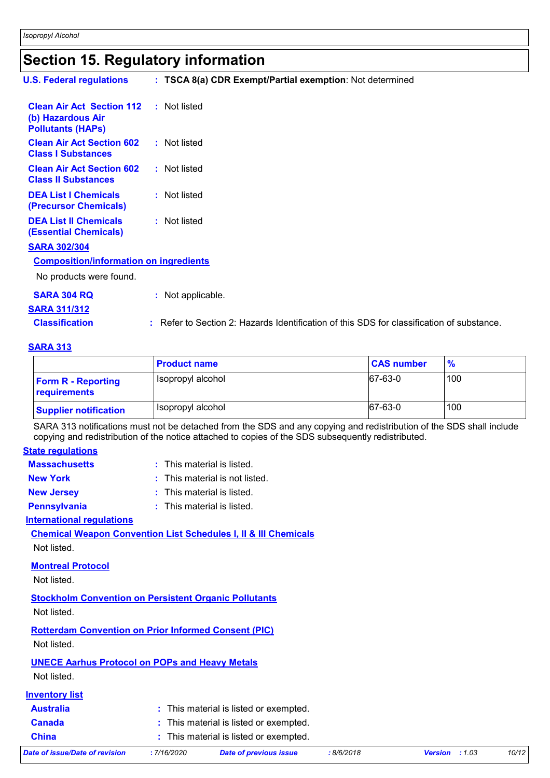### **Section 15. Regulatory information**

| <b>U.S. Federal regulations</b>                                                   | : TSCA 8(a) CDR Exempt/Partial exemption: Not determined                                      |
|-----------------------------------------------------------------------------------|-----------------------------------------------------------------------------------------------|
| <b>Clean Air Act Section 112</b><br>(b) Hazardous Air<br><b>Pollutants (HAPS)</b> | : Not listed                                                                                  |
| <b>Clean Air Act Section 602</b><br><b>Class I Substances</b>                     | : Not listed                                                                                  |
| <b>Clean Air Act Section 602</b><br><b>Class II Substances</b>                    | : Not listed                                                                                  |
| <b>DEA List I Chemicals</b><br>(Precursor Chemicals)                              | : Not listed                                                                                  |
| <b>DEA List II Chemicals</b><br><b>(Essential Chemicals)</b>                      | : Not listed                                                                                  |
| <b>SARA 302/304</b>                                                               |                                                                                               |
| <b>Composition/information on ingredients</b>                                     |                                                                                               |
| No products were found.                                                           |                                                                                               |
| <b>SARA 304 RQ</b>                                                                | : Not applicable.                                                                             |
| <b>SARA 311/312</b>                                                               |                                                                                               |
| <b>Classification</b>                                                             | Refer to Section 2: Hazards Identification of this SDS for classification of substance.<br>÷. |

#### **SARA 313**

|                                           | <b>Product name</b> | <b>CAS number</b> | $\frac{9}{6}$ |
|-------------------------------------------|---------------------|-------------------|---------------|
| <b>Form R - Reporting</b><br>requirements | Isopropyl alcohol   | 67-63-0           | 100           |
| <b>Supplier notification</b>              | Isopropyl alcohol   | 67-63-0           | 100           |

SARA 313 notifications must not be detached from the SDS and any copying and redistribution of the SDS shall include copying and redistribution of the notice attached to copies of the SDS subsequently redistributed.

#### **State regulations**

| <b>Massachusetts</b> | : This material is listed.     |
|----------------------|--------------------------------|
| <b>New York</b>      | : This material is not listed. |
| <b>New Jersey</b>    | : This material is listed.     |
| <b>Pennsylvania</b>  | : This material is listed.     |
|                      |                                |

#### **International regulations**

**Chemical Weapon Convention List Schedules I, II & III Chemicals** Not listed.

#### **Montreal Protocol**

Not listed.

**Stockholm Convention on Persistent Organic Pollutants** Not listed.

### **Rotterdam Convention on Prior Informed Consent (PIC)**

Not listed.

### **UNECE Aarhus Protocol on POPs and Heavy Metals**

Not listed.

| <b>Inventory list</b>          |             |                                        |
|--------------------------------|-------------|----------------------------------------|
| <b>Australia</b>               |             | : This material is listed or exempted. |
| <b>Canada</b>                  |             | : This material is listed or exempted. |
| <b>China</b>                   |             | : This material is listed or exempted. |
| Date of issue/Date of revision | : 7/16/2020 | <b>Date of previous issue</b>          |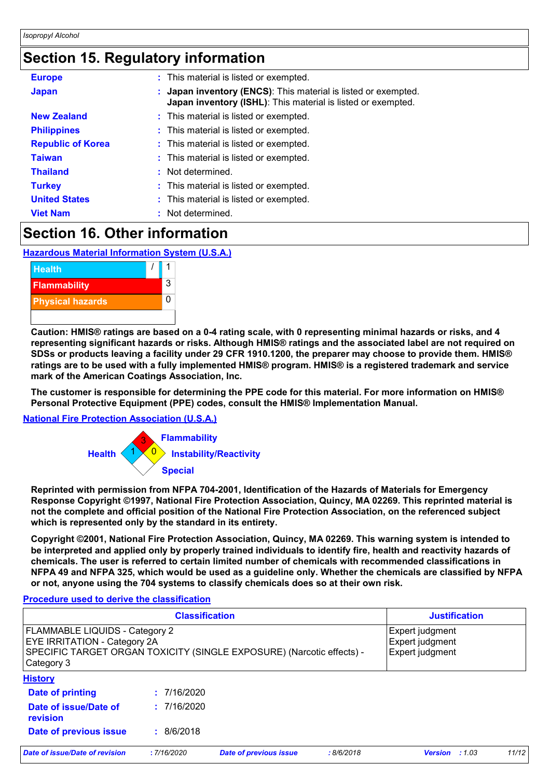### **Section 15. Regulatory information**

| <b>Europe</b>            | : This material is listed or exempted.                                                                                         |
|--------------------------|--------------------------------------------------------------------------------------------------------------------------------|
| <b>Japan</b>             | : Japan inventory (ENCS): This material is listed or exempted.<br>Japan inventory (ISHL): This material is listed or exempted. |
| <b>New Zealand</b>       | : This material is listed or exempted.                                                                                         |
| <b>Philippines</b>       | : This material is listed or exempted.                                                                                         |
| <b>Republic of Korea</b> | : This material is listed or exempted.                                                                                         |
| <b>Taiwan</b>            | : This material is listed or exempted.                                                                                         |
| <b>Thailand</b>          | : Not determined.                                                                                                              |
| <b>Turkey</b>            | : This material is listed or exempted.                                                                                         |
| <b>United States</b>     | : This material is listed or exempted.                                                                                         |
| <b>Viet Nam</b>          | : Not determined.                                                                                                              |
|                          |                                                                                                                                |

### **Section 16. Other information**

**Hazardous Material Information System (U.S.A.)**



**Caution: HMIS® ratings are based on a 0-4 rating scale, with 0 representing minimal hazards or risks, and 4 representing significant hazards or risks. Although HMIS® ratings and the associated label are not required on SDSs or products leaving a facility under 29 CFR 1910.1200, the preparer may choose to provide them. HMIS® ratings are to be used with a fully implemented HMIS® program. HMIS® is a registered trademark and service mark of the American Coatings Association, Inc.**

**The customer is responsible for determining the PPE code for this material. For more information on HMIS® Personal Protective Equipment (PPE) codes, consult the HMIS® Implementation Manual.**

#### **National Fire Protection Association (U.S.A.)**



**Reprinted with permission from NFPA 704-2001, Identification of the Hazards of Materials for Emergency Response Copyright ©1997, National Fire Protection Association, Quincy, MA 02269. This reprinted material is not the complete and official position of the National Fire Protection Association, on the referenced subject which is represented only by the standard in its entirety.**

**Copyright ©2001, National Fire Protection Association, Quincy, MA 02269. This warning system is intended to be interpreted and applied only by properly trained individuals to identify fire, health and reactivity hazards of chemicals. The user is referred to certain limited number of chemicals with recommended classifications in NFPA 49 and NFPA 325, which would be used as a guideline only. Whether the chemicals are classified by NFPA or not, anyone using the 704 systems to classify chemicals does so at their own risk.**

#### **Procedure used to derive the classification**

| <b>Classification</b>                                                                                                                                               |             |                               | <b>Justification</b> |                                                       |       |       |
|---------------------------------------------------------------------------------------------------------------------------------------------------------------------|-------------|-------------------------------|----------------------|-------------------------------------------------------|-------|-------|
| <b>FLAMMABLE LIQUIDS - Category 2</b><br><b>EYE IRRITATION - Category 2A</b><br>SPECIFIC TARGET ORGAN TOXICITY (SINGLE EXPOSURE) (Narcotic effects) -<br>Category 3 |             |                               |                      | Expert judgment<br>Expert judgment<br>Expert judgment |       |       |
| <b>History</b>                                                                                                                                                      |             |                               |                      |                                                       |       |       |
| Date of printing                                                                                                                                                    | : 7/16/2020 |                               |                      |                                                       |       |       |
| Date of issue/Date of<br>revision                                                                                                                                   | : 7/16/2020 |                               |                      |                                                       |       |       |
| Date of previous issue                                                                                                                                              | : 8/6/2018  |                               |                      |                                                       |       |       |
| Date of issue/Date of revision                                                                                                                                      | : 7/16/2020 | <b>Date of previous issue</b> | :8/6/2018            | <b>Version</b>                                        | :1.03 | 11/12 |